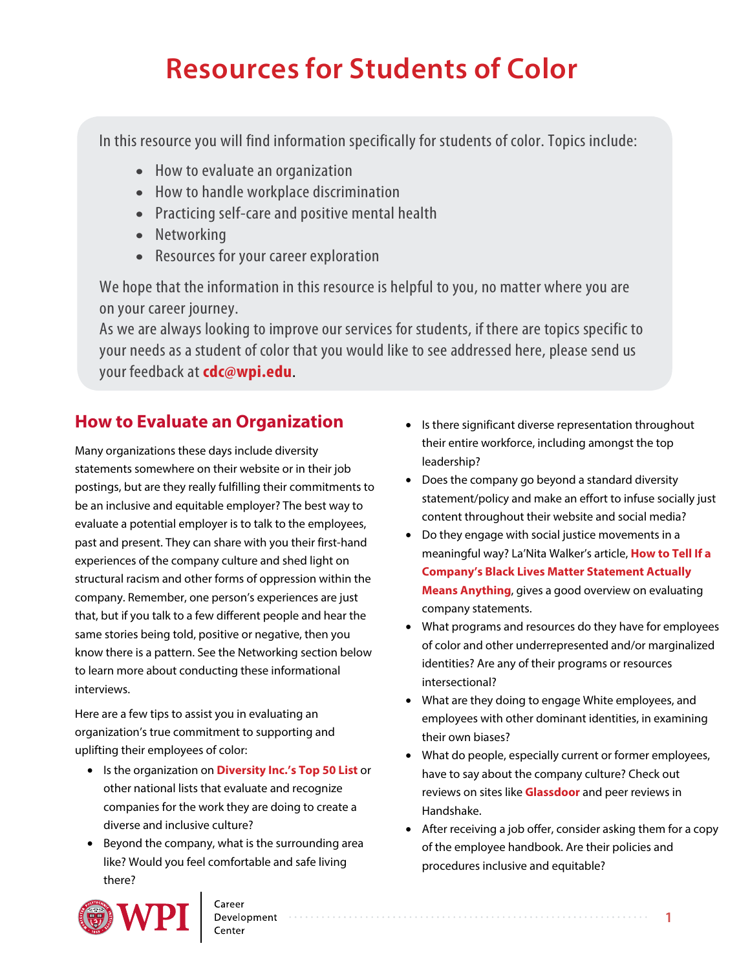# **Resources for Students of Color**

In this resource you will find information specifically for students of color. Topics include:

- How to evaluate an organization
- How to handle workplace discrimination
- Practicing self-care and positive mental health
- Networking
- Resources for your career exploration

We hope that the information in this resource is helpful to you, no matter where you are on your career journey.

As we are always looking to improve our services for students, if there are topics specific to your needs as a student of color that you would like to see addressed here, please send us your feedback at **[cdc@wpi.edu](mailto:cdc@wpi.edu)**.

# **How to Evaluate an Organization**

Many organizations these days include diversity statements somewhere on their website or in their job postings, but are they really fulfilling their commitments to be an inclusive and equitable employer? The best way to evaluate a potential employer is to talk to the employees, past and present. They can share with you their first-hand experiences of the company culture and shed light on structural racism and other forms of oppression within the company. Remember, one person's experiences are just that, but if you talk to a few different people and hear the same stories being told, positive or negative, then you know there is a pattern. See the Networking section below to learn more about conducting these informational interviews.

Here are a few tips to assist you in evaluating an organization's true commitment to supporting and uplifting their employees of color:

- Is the organization on **[Diversity Inc.'s Top 50 List](https://www.diversityinc.com/the-2020-top-50-diversityinc/)** or other national lists that evaluate and recognize companies for the work they are doing to create a diverse and inclusive culture?
- Beyond the company, what is the surrounding area like? Would you feel comfortable and safe living there?



Development<br>Center

- Is there significant diverse representation throughout their entire workforce, including amongst the top leadership?
- Does the company go beyond a standard diversity statement/policy and make an effort to infuse socially just content throughout their website and social media?
- Do they engage with social justice movements in a meaningful way? La'Nita Walker's article, **How to Tell If a [Company's Black Lives Matter Statement Actually](https://marker.medium.com/3-things-to-look-for-in-your-favorite-company-or-influencers-stance-of-solidarity-post-cc3c9ce6d60f) Means Anything**, gives a good overview on evaluating company statements.
- What programs and resources do they have for employees of color and other underrepresented and/or marginalized identities? Are any of their programs or resources intersectional?
- What are they doing to engage White employees, and employees with other dominant identities, in examining their own biases?
- What do people, especially current or former employees, have to say about the company culture? Check out reviews on sites like **[Glassdoor](https://www.glassdoor.com/Students/index.htm)** and peer reviews in Handshake.
- After receiving a job offer, consider asking them for a copy of the employee handbook. Are their policies and procedures inclusive and equitable?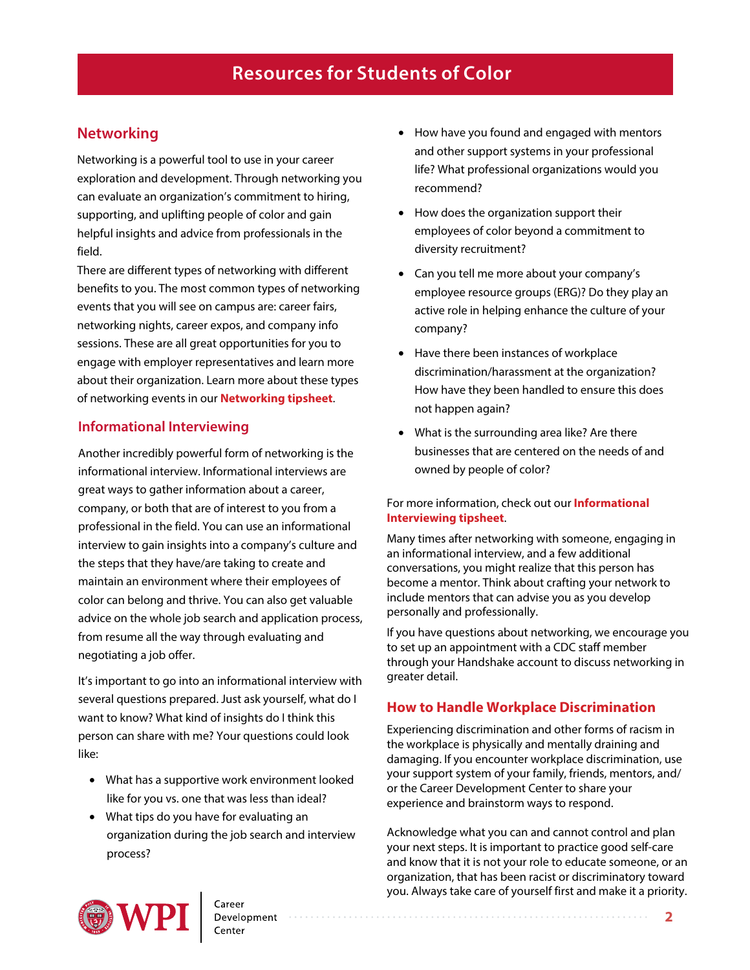## **Networking**

Networking is a powerful tool to use in your career exploration and development. Through networking you can evaluate an organization's commitment to hiring, supporting, and uplifting people of color and gain helpful insights and advice from professionals in the field.

There are different types of networking with different benefits to you. The most common types of networking events that you will see on campus are: career fairs, networking nights, career expos, and company info sessions. These are all great opportunities for you to engage with employer representatives and learn more about their organization. Learn more about these types of networking events in our **[Networking tipsheet](https://www.wpi.edu/sites/default/files/inline-image/Offices/Career-Development-Center/Networking.pdf)**.

#### **Informational Interviewing**

Another incredibly powerful form of networking is the informational interview. Informational interviews are great ways to gather information about a career, company, or both that are of interest to you from a professional in the field. You can use an informational interview to gain insights into a company's culture and the steps that they have/are taking to create and maintain an environment where their employees of color can belong and thrive. You can also get valuable advice on the whole job search and application process, from resume all the way through evaluating and negotiating a job offer.

It's important to go into an informational interview with several questions prepared. Just ask yourself, what do I want to know? What kind of insights do I think this person can share with me? Your questions could look like:

- What has a supportive work environment looked like for you vs. one that was less than ideal?
- What tips do you have for evaluating an organization during the job search and interview process?
- How have you found and engaged with mentors and other support systems in your professional life? What professional organizations would you recommend?
- How does the organization support their employees of color beyond a commitment to diversity recruitment?
- Can you tell me more about your company's employee resource groups (ERG)? Do they play an active role in helping enhance the culture of your company?
- Have there been instances of workplace discrimination/harassment at the organization? How have they been handled to ensure this does not happen again?
- What is the surrounding area like? Are there businesses that are centered on the needs of and owned by people of color?

#### [For more information, check out our](https://www.wpi.edu/sites/default/files/inline-image/Offices/Career-Development-Center/Informational%20Interviews.pdf) **Informational Interviewing tipsheet**.

Many times after networking with someone, engaging in an informational interview, and a few additional conversations, you might realize that this person has become a mentor. Think about crafting your network to include mentors that can advise you as you develop personally and professionally.

If you have questions about networking, we encourage you to set up an appointment with a CDC staff member through your Handshake account to discuss networking in greater detail.

#### **How to Handle Workplace Discrimination**

Experiencing discrimination and other forms of racism in the workplace is physically and mentally draining and damaging. If you encounter workplace discrimination, use your support system of your family, friends, mentors, and/ or [the Career Development Center to](http://www.wpi.edu/sites/default/files/docs/Offices/Career-Development-Center/Elevator-pitch.pdf) share your experience and brainstorm ways to respond.

Acknowledge what you can and cannot control and plan your next steps. It is important to practice good self-care and know that it is not your role to educate someone, or an organization, that has been racist or discriminatory toward you. Always take care of yourself first and make it a priority.

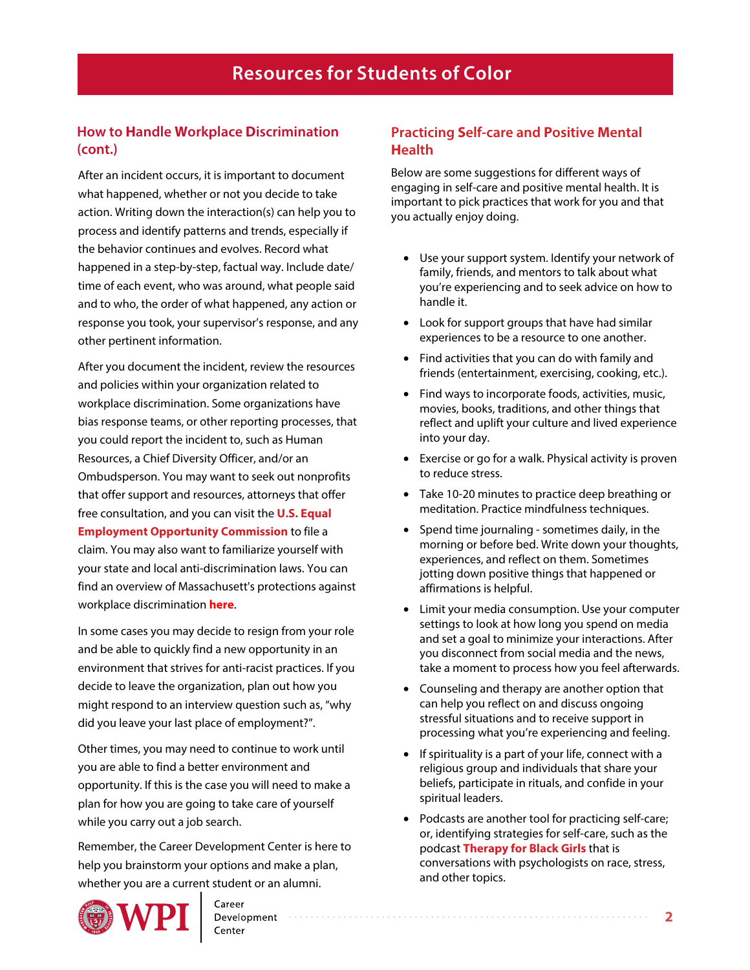#### **How to Handle Workplace Discrimination (cont.)**

After an incident occurs, it is important to document what happened, whether or not you decide to take action. Writing down the interaction(s) can help you to process and identify patterns and trends, especially if the behavior continues and evolves. Record what happened in a step-by-step, factual way. Include date/ time of each event, who was around, what people said and to who, the order of what happened, any action or response you took, your supervisor's response, and any other pertinent information.

After you document the incident, review the resources and policies within your organization related to workplace discrimination. Some organizations have bias response teams, or other reporting processes, that you could report the incident to, such as Human Resources, a Chief Diversity Officer, and/or an Ombudsperson. You may want to seek out nonprofits that offer support and resources, attorneys that offer free consultation, and you can visit the **U.S. Equal [Employment Opportunity Commission](https://www.eeoc.gov/racecolor-discrimination)** to file a claim. You may also want to familiarize yourself with your state and local anti-discrimination laws. You can find an overview of Massachusett's protections against workplace discrimination **[here](https://www.mass.gov/info-details/overview-of-workplace-discrimination)**.

In some cases you may decide to resign from your role and be able to quickly find a new opportunity in an environment that strives for anti-racist practices. If you decide to leave the organization, plan out how you might respond to an interview question such as, "why did you leave your last place of employment?".

Other times, you may need to continue to work until you are able to find a better environment and opportunity. If this is the case you will need to make a plan for how you are going to take care of yourself while you carry out a job search.

Remember, the Career Development Center is here to help you brainstorm your options and make a plan, whether you are a current student or an alumni.



#### Career Development

#### **Practicing Self-care and Positive Mental Health**

Below are some suggestions for different ways of engaging in self-care and positive mental health. It is important to pick practices that work for you and that you actually enjoy doing.

- Use your support system. Identify your network of family, friends, and mentors to talk about what you're experiencing and to seek advice on how to handle it.
- Look for support groups that have had similar experiences to be a resource to one another.
- Find activities that you can do with family and friends (entertainment, exercising, cooking, etc.).
- Find ways to incorporate foods, activities, music, movies, books, traditions, and other things that reflect and uplift your culture and lived experience into your day.
- Exercise or go for a walk. Physical activity is proven to reduce stress.
- Take 10-20 minutes to practice deep breathing or meditation. Practice mindfulness techniques.
- Spend time journaling sometimes daily, in the morning or before bed. Write down your thoughts, experiences, and reflect on them. Sometimes jotting down positive things that happened or affirmations is helpful.
- Limit your media consumption. Use your computer settings to look at how long you spend on media and set a goal to minimize your interactions. After you disconnect from social media and the news, take a moment to process how you feel afterwards.
- Counseling and therapy are another option that can help you reflect on and discuss ongoing stressful situations and to receive support in processing what you're experiencing and feeling.
- If spirituality is a part of your life, connect with a religious group and individuals that share your beliefs, participate in rituals, and confide in your spiritual leaders.
- Podcasts are another tool for practicing self-care; or, identifying strategies for self-care, such as the podcast **[Therapy for Black Girls](https://www.therapyforblackgirls.com/podcast/)** that is conversations with psychologists on race, stress, and other topics.